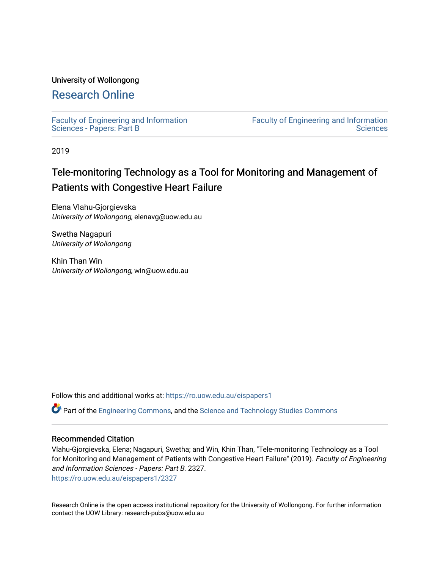#### University of Wollongong

## [Research Online](https://ro.uow.edu.au/)

[Faculty of Engineering and Information](https://ro.uow.edu.au/eispapers1)  [Sciences - Papers: Part B](https://ro.uow.edu.au/eispapers1)

[Faculty of Engineering and Information](https://ro.uow.edu.au/eis)  **Sciences** 

2019

# Tele-monitoring Technology as a Tool for Monitoring and Management of Patients with Congestive Heart Failure

Elena Vlahu-Gjorgievska University of Wollongong, elenavg@uow.edu.au

Swetha Nagapuri University of Wollongong

Khin Than Win University of Wollongong, win@uow.edu.au

Follow this and additional works at: [https://ro.uow.edu.au/eispapers1](https://ro.uow.edu.au/eispapers1?utm_source=ro.uow.edu.au%2Feispapers1%2F2327&utm_medium=PDF&utm_campaign=PDFCoverPages) 

Part of the [Engineering Commons](http://network.bepress.com/hgg/discipline/217?utm_source=ro.uow.edu.au%2Feispapers1%2F2327&utm_medium=PDF&utm_campaign=PDFCoverPages), and the [Science and Technology Studies Commons](http://network.bepress.com/hgg/discipline/435?utm_source=ro.uow.edu.au%2Feispapers1%2F2327&utm_medium=PDF&utm_campaign=PDFCoverPages)

#### Recommended Citation

Vlahu-Gjorgievska, Elena; Nagapuri, Swetha; and Win, Khin Than, "Tele-monitoring Technology as a Tool for Monitoring and Management of Patients with Congestive Heart Failure" (2019). Faculty of Engineering and Information Sciences - Papers: Part B. 2327.

[https://ro.uow.edu.au/eispapers1/2327](https://ro.uow.edu.au/eispapers1/2327?utm_source=ro.uow.edu.au%2Feispapers1%2F2327&utm_medium=PDF&utm_campaign=PDFCoverPages)

Research Online is the open access institutional repository for the University of Wollongong. For further information contact the UOW Library: research-pubs@uow.edu.au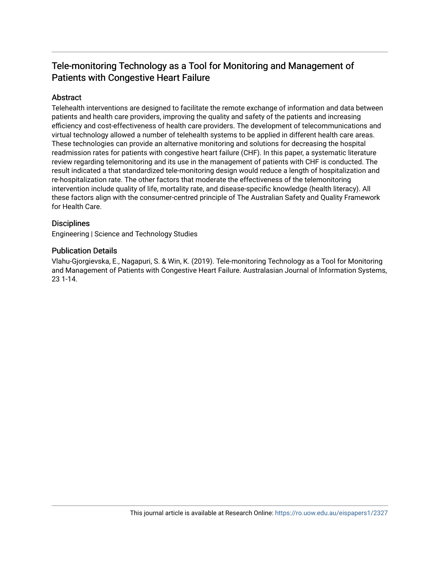## Tele-monitoring Technology as a Tool for Monitoring and Management of Patients with Congestive Heart Failure

#### Abstract

Telehealth interventions are designed to facilitate the remote exchange of information and data between patients and health care providers, improving the quality and safety of the patients and increasing efficiency and cost-effectiveness of health care providers. The development of telecommunications and virtual technology allowed a number of telehealth systems to be applied in different health care areas. These technologies can provide an alternative monitoring and solutions for decreasing the hospital readmission rates for patients with congestive heart failure (CHF). In this paper, a systematic literature review regarding telemonitoring and its use in the management of patients with CHF is conducted. The result indicated a that standardized tele-monitoring design would reduce a length of hospitalization and re-hospitalization rate. The other factors that moderate the effectiveness of the telemonitoring intervention include quality of life, mortality rate, and disease-specific knowledge (health literacy). All these factors align with the consumer-centred principle of The Australian Safety and Quality Framework for Health Care.

#### **Disciplines**

Engineering | Science and Technology Studies

#### Publication Details

Vlahu-Gjorgievska, E., Nagapuri, S. & Win, K. (2019). Tele-monitoring Technology as a Tool for Monitoring and Management of Patients with Congestive Heart Failure. Australasian Journal of Information Systems, 23 1-14.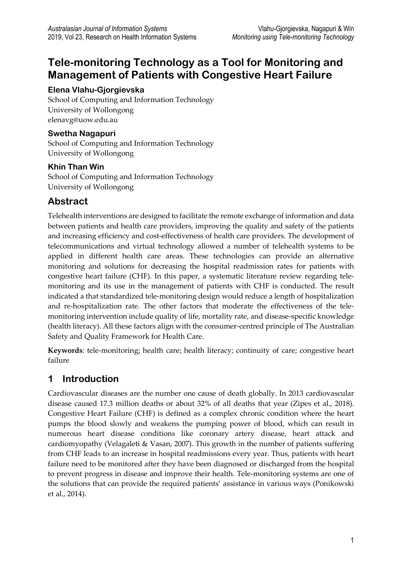# **Tele-monitoring Technology as a Tool for Monitoring and Management of Patients with Congestive Heart Failure**

#### **Elena Vlahu-Gjorgievska**

School of Computing and Information Technology University of Wollongong elenavg@uow.edu.au

#### **Swetha Nagapuri**

School of Computing and Information Technology University of Wollongong

#### **Khin Than Win**

School of Computing and Information Technology University of Wollongong

## **Abstract**

Telehealth interventions are designed to facilitate the remote exchange of information and data between patients and health care providers, improving the quality and safety of the patients and increasing efficiency and cost-effectiveness of health care providers. The development of telecommunications and virtual technology allowed a number of telehealth systems to be applied in different health care areas. These technologies can provide an alternative monitoring and solutions for decreasing the hospital readmission rates for patients with congestive heart failure (CHF). In this paper, a systematic literature review regarding telemonitoring and its use in the management of patients with CHF is conducted. The result indicated a that standardized tele-monitoring design would reduce a length of hospitalization and re-hospitalization rate. The other factors that moderate the effectiveness of the telemonitoring intervention include quality of life, mortality rate, and disease-specific knowledge (health literacy). All these factors align with the consumer-centred principle of The Australian Safety and Quality Framework for Health Care.

**Keywords**: tele-monitoring; health care; health literacy; continuity of care; congestive heart failure

## **1 Introduction**

Cardiovascular diseases are the number one cause of death globally. In 2013 cardiovascular disease caused 17.3 million deaths or about 32% of all deaths that year (Zipes et al., 2018). Congestive Heart Failure (CHF) is defined as a complex chronic condition where the heart pumps the blood slowly and weakens the pumping power of blood, which can result in numerous heart disease conditions like coronary artery disease, heart attack and cardiomyopathy (Velagaleti & Vasan, 2007). This growth in the number of patients suffering from CHF leads to an increase in hospital readmissions every year. Thus, patients with heart failure need to be monitored after they have been diagnosed or discharged from the hospital to prevent progress in disease and improve their health. Tele-monitoring systems are one of the solutions that can provide the required patients' assistance in various ways (Ponikowski et al., 2014).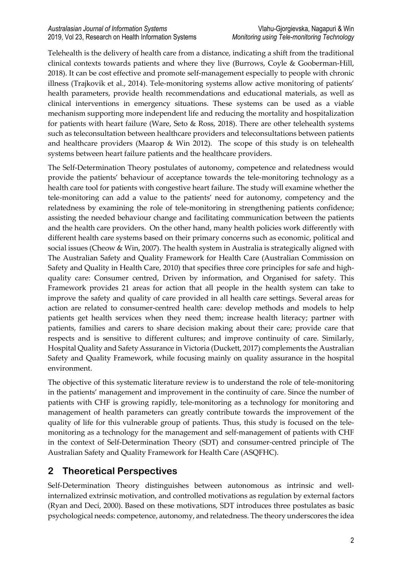Telehealth is the delivery of health care from a distance, indicating a shift from the traditional clinical contexts towards patients and where they live (Burrows, Coyle & Gooberman-Hill, 2018). It can be cost effective and promote self-management especially to people with chronic illness (Trajkovik et al., 2014). Tele-monitoring systems allow active monitoring of patients' health parameters, provide health recommendations and educational materials, as well as clinical interventions in emergency situations. These systems can be used as a viable mechanism supporting more independent life and reducing the mortality and hospitalization for patients with heart failure (Ware, Seto & Ross, 2018). There are other telehealth systems such as teleconsultation between healthcare providers and teleconsultations between patients and healthcare providers (Maarop & Win 2012). The scope of this study is on telehealth systems between heart failure patients and the healthcare providers.

The Self-Determination Theory postulates of autonomy, competence and relatedness would provide the patients' behaviour of acceptance towards the tele-monitoring technology as a health care tool for patients with congestive heart failure. The study will examine whether the tele-monitoring can add a value to the patients' need for autonomy, competency and the relatedness by examining the role of tele-monitoring in strengthening patients confidence; assisting the needed behaviour change and facilitating communication between the patients and the health care providers. On the other hand, many health policies work differently with different health care systems based on their primary concerns such as economic, political and social issues (Cheow & Win, 2007). The health system in Australia is strategically aligned with The Australian Safety and Quality Framework for Health Care (Australian Commission on Safety and Quality in Health Care, 2010) that specifies three core principles for safe and highquality care: Consumer centred, Driven by information, and Organised for safety. This Framework provides 21 areas for action that all people in the health system can take to improve the safety and quality of care provided in all health care settings. Several areas for action are related to consumer-centred health care: develop methods and models to help patients get health services when they need them; increase health literacy; partner with patients, families and carers to share decision making about their care; provide care that respects and is sensitive to different cultures; and improve continuity of care. Similarly, Hospital Quality and Safety Assurance in Victoria (Duckett, 2017) complements the Australian Safety and Quality Framework, while focusing mainly on quality assurance in the hospital environment.

The objective of this systematic literature review is to understand the role of tele-monitoring in the patients' management and improvement in the continuity of care. Since the number of patients with CHF is growing rapidly, tele-monitoring as a technology for monitoring and management of health parameters can greatly contribute towards the improvement of the quality of life for this vulnerable group of patients. Thus, this study is focused on the telemonitoring as a technology for the management and self-management of patients with CHF in the context of Self-Determination Theory (SDT) and consumer-centred principle of The Australian Safety and Quality Framework for Health Care (ASQFHC).

# **2 Theoretical Perspectives**

Self-Determination Theory distinguishes between autonomous as intrinsic and wellinternalized extrinsic motivation, and controlled motivations as regulation by external factors (Ryan and Deci, 2000). Based on these motivations, SDT introduces three postulates as basic psychological needs: competence, autonomy, and relatedness. The theory underscores the idea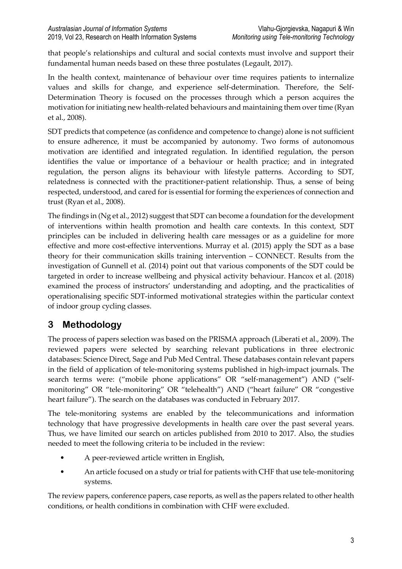that people's relationships and cultural and social contexts must involve and support their fundamental human needs based on these three postulates (Legault, 2017).

In the health context, maintenance of behaviour over time requires patients to internalize values and skills for change, and experience self-determination. Therefore, the Self-Determination Theory is focused on the processes through which a person acquires the motivation for initiating new health-related behaviours and maintaining them over time (Ryan et al., 2008).

SDT predicts that competence (as confidence and competence to change) alone is not sufficient to ensure adherence, it must be accompanied by autonomy. Two forms of autonomous motivation are identified and integrated regulation. In identified regulation, the person identifies the value or importance of a behaviour or health practice; and in integrated regulation, the person aligns its behaviour with lifestyle patterns. According to SDT, relatedness is connected with the practitioner-patient relationship. Thus, a sense of being respected, understood, and cared for is essential for forming the experiences of connection and trust (Ryan et al., 2008).

The findings in (Ng et al., 2012) suggest that SDT can become a foundation for the development of interventions within health promotion and health care contexts. In this context, SDT principles can be included in delivering health care messages or as a guideline for more effective and more cost-effective interventions. Murray et al. (2015) apply the SDT as a base theory for their communication skills training intervention – CONNECT. Results from the investigation of Gunnell et al. (2014) point out that various components of the SDT could be targeted in order to increase wellbeing and physical activity behaviour. Hancox et al. (2018) examined the process of instructors' understanding and adopting, and the practicalities of operationalising specific SDT-informed motivational strategies within the particular context of indoor group cycling classes.

# **3 Methodology**

The process of papers selection was based on the PRISMA approach (Liberati et al., 2009). The reviewed papers were selected by searching relevant publications in three electronic databases: Science Direct, Sage and Pub Med Central. These databases contain relevant papers in the field of application of tele-monitoring systems published in high-impact journals. The search terms were: ("mobile phone applications" OR "self-management") AND ("selfmonitoring" OR "tele-monitoring" OR "telehealth") AND ("heart failure" OR "congestive heart failure"). The search on the databases was conducted in February 2017.

The tele-monitoring systems are enabled by the telecommunications and information technology that have progressive developments in health care over the past several years. Thus, we have limited our search on articles published from 2010 to 2017. Also, the studies needed to meet the following criteria to be included in the review:

- A peer-reviewed article written in English,
- An article focused on a study or trial for patients with CHF that use tele-monitoring systems.

The review papers, conference papers, case reports, as well as the papers related to other health conditions, or health conditions in combination with CHF were excluded.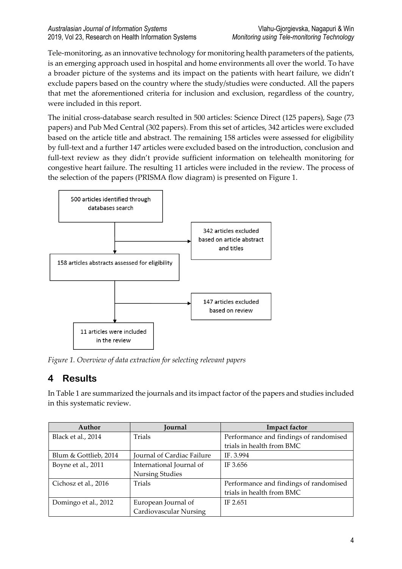Tele-monitoring, as an innovative technology for monitoring health parameters of the patients, is an emerging approach used in hospital and home environments all over the world. To have a broader picture of the systems and its impact on the patients with heart failure, we didn't exclude papers based on the country where the study/studies were conducted. All the papers that met the aforementioned criteria for inclusion and exclusion, regardless of the country, were included in this report.

The initial cross-database search resulted in 500 articles: Science Direct (125 papers), Sage (73 papers) and Pub Med Central (302 papers). From this set of articles, 342 articles were excluded based on the article title and abstract. The remaining 158 articles were assessed for eligibility by full-text and a further 147 articles were excluded based on the introduction, conclusion and full-text review as they didn't provide sufficient information on telehealth monitoring for congestive heart failure. The resulting 11 articles were included in the review. The process of the selection of the papers (PRISMA flow diagram) is presented on Figure 1.



*Figure 1. Overview of data extraction for selecting relevant papers*

# **4 Results**

In Table 1 are summarized the journals and its impact factor of the papers and studies included in this systematic review.

| Author                | Journal                       | <b>Impact factor</b>                   |  |
|-----------------------|-------------------------------|----------------------------------------|--|
| Black et al., 2014    | <b>Trials</b>                 | Performance and findings of randomised |  |
|                       |                               | trials in health from BMC              |  |
| Blum & Gottlieb, 2014 | Journal of Cardiac Failure    | IF. 3.994                              |  |
| Boyne et al., 2011    | International Journal of      | IF 3.656                               |  |
|                       | <b>Nursing Studies</b>        |                                        |  |
| Cichosz et al., 2016  | <b>Trials</b>                 | Performance and findings of randomised |  |
|                       |                               | trials in health from BMC              |  |
| Domingo et al., 2012  | European Journal of           | IF 2.651                               |  |
|                       | <b>Cardiovascular Nursing</b> |                                        |  |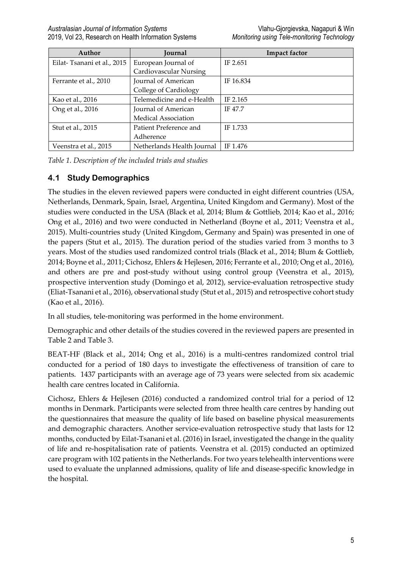| Author                     | Journal                          | <b>Impact factor</b> |  |
|----------------------------|----------------------------------|----------------------|--|
| Eilat-Tsanani et al., 2015 | European Journal of              | IF 2.651             |  |
|                            | Cardiovascular Nursing           |                      |  |
| Ferrante et al., 2010      | Journal of American<br>IF 16.834 |                      |  |
|                            | College of Cardiology            |                      |  |
| Kao et al., 2016           | Telemedicine and e-Health        | IF 2.165             |  |
| Ong et al., 2016           | Journal of American              | IF 47.7              |  |
|                            | Medical Association              |                      |  |
| Stut et al., 2015          | Patient Preference and           | IF 1.733             |  |
|                            | Adherence                        |                      |  |
| Veenstra et al., 2015      | Netherlands Health Journal       | IF 1.476             |  |

*Table 1. Description of the included trials and studies*

### **4.1 Study Demographics**

The studies in the eleven reviewed papers were conducted in eight different countries (USA, Netherlands, Denmark, Spain, Israel, Argentina, United Kingdom and Germany). Most of the studies were conducted in the USA (Black et al, 2014; Blum & Gottlieb, 2014; Kao et al., 2016; Ong et al., 2016) and two were conducted in Netherland (Boyne et al., 2011; Veenstra et al., 2015). Multi-countries study (United Kingdom, Germany and Spain) was presented in one of the papers (Stut et al., 2015). The duration period of the studies varied from 3 months to 3 years. Most of the studies used randomized control trials (Black et al., 2014; Blum & Gottlieb, 2014; Boyne et al., 2011; Cichosz, Ehlers & Hejlesen, 2016; Ferrante et al., 2010; Ong et al., 2016), and others are pre and post-study without using control group (Veenstra et al., 2015), prospective intervention study (Domingo et al, 2012), service-evaluation retrospective study (Eliat-Tsanani et al., 2016), observational study (Stut et al., 2015) and retrospective cohort study (Kao et al., 2016).

In all studies, tele-monitoring was performed in the home environment.

Demographic and other details of the studies covered in the reviewed papers are presented in Table 2 and Table 3.

BEAT-HF (Black et al., 2014; Ong et al., 2016) is a multi-centres randomized control trial conducted for a period of 180 days to investigate the effectiveness of transition of care to patients. 1437 participants with an average age of 73 years were selected from six academic health care centres located in California.

Cichosz, Ehlers & Hejlesen (2016) conducted a randomized control trial for a period of 12 months in Denmark. Participants were selected from three health care centres by handing out the questionnaires that measure the quality of life based on baseline physical measurements and demographic characters. Another service-evaluation retrospective study that lasts for 12 months, conducted by Eilat-Tsanani et al. (2016) in Israel, investigated the change in the quality of life and re-hospitalisation rate of patients. Veenstra et al. (2015) conducted an optimized care program with 102 patients in the Netherlands. For two years telehealth interventions were used to evaluate the unplanned admissions, quality of life and disease-specific knowledge in the hospital.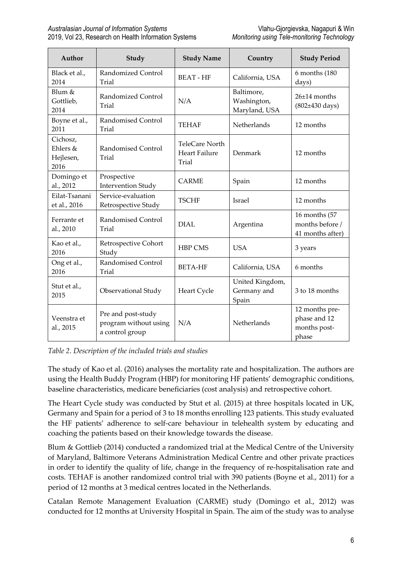| Author                                    | Study                                                          | <b>Study Name</b>                               | Country                                    | <b>Study Period</b>                                     |
|-------------------------------------------|----------------------------------------------------------------|-------------------------------------------------|--------------------------------------------|---------------------------------------------------------|
| Black et al.,<br>2014                     | Randomized Control<br>Trial                                    | <b>BEAT-HF</b>                                  | California, USA                            | 6 months (180<br>days)                                  |
| Blum &<br>Gottlieb,<br>2014               | Randomized Control<br>Trial                                    | N/A                                             | Baltimore,<br>Washington,<br>Maryland, USA | $26\pm14$ months<br>$(802 \pm 430 \text{ days})$        |
| Boyne et al.,<br>2011                     | Randomised Control<br>Trial                                    | <b>TEHAF</b>                                    | Netherlands                                | 12 months                                               |
| Cichosz,<br>Ehlers &<br>Hejlesen,<br>2016 | Randomised Control<br>Trial                                    | TeleCare North<br><b>Heart Failure</b><br>Trial | Denmark                                    | 12 months                                               |
| Domingo et<br>al., 2012                   | Prospective<br><b>Intervention Study</b>                       | <b>CARME</b>                                    | Spain                                      | 12 months                                               |
| Eilat-Tsanani<br>et al., 2016             | Service-evaluation<br>Retrospective Study                      | <b>TSCHF</b>                                    | Israel                                     | 12 months                                               |
| Ferrante et<br>al., 2010                  | Randomised Control<br>Trial                                    | <b>DIAL</b>                                     | Argentina                                  | 16 months (57<br>months before /<br>41 months after)    |
| Kao et al.,<br>2016                       | Retrospective Cohort<br>Study                                  | <b>HBP CMS</b>                                  | <b>USA</b>                                 | 3 years                                                 |
| Ong et al.,<br>2016                       | Randomised Control<br>Trial                                    | <b>BETA-HF</b>                                  | California, USA                            | 6 months                                                |
| Stut et al.,<br>2015                      | Observational Study                                            | Heart Cycle                                     | United Kingdom,<br>Germany and<br>Spain    | 3 to 18 months                                          |
| Veenstra et<br>al., 2015                  | Pre and post-study<br>program without using<br>a control group | N/A                                             | Netherlands                                | 12 months pre-<br>phase and 12<br>months post-<br>phase |

#### *Table 2. Description of the included trials and studies*

The study of Kao et al. (2016) analyses the mortality rate and hospitalization. The authors are using the Health Buddy Program (HBP) for monitoring HF patients' demographic conditions, baseline characteristics, medicare beneficiaries (cost analysis) and retrospective cohort.

The Heart Cycle study was conducted by Stut et al. (2015) at three hospitals located in UK, Germany and Spain for a period of 3 to 18 months enrolling 123 patients. This study evaluated the HF patients' adherence to self-care behaviour in telehealth system by educating and coaching the patients based on their knowledge towards the disease.

Blum & Gottlieb (2014) conducted a randomized trial at the Medical Centre of the University of Maryland, Baltimore Veterans Administration Medical Centre and other private practices in order to identify the quality of life, change in the frequency of re-hospitalisation rate and costs. TEHAF is another randomized control trial with 390 patients (Boyne et al., 2011) for a period of 12 months at 3 medical centres located in the Netherlands.

Catalan Remote Management Evaluation (CARME) study (Domingo et al., 2012) was conducted for 12 months at University Hospital in Spain. The aim of the study was to analyse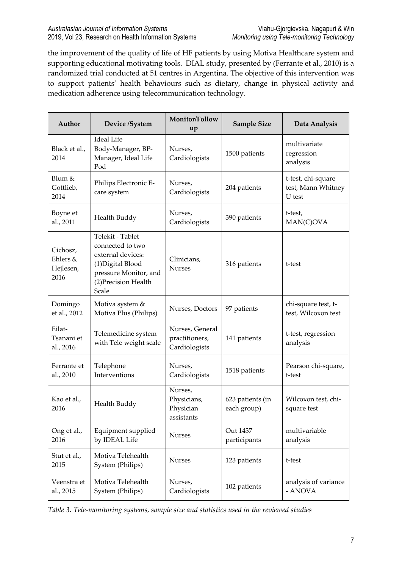the improvement of the quality of life of HF patients by using Motiva Healthcare system and supporting educational motivating tools. DIAL study, presented by (Ferrante et al., 2010) is a randomized trial conducted at 51 centres in Argentina. The objective of this intervention was to support patients' health behaviours such as dietary, change in physical activity and medication adherence using telecommunication technology.

| Author                                    | Device /System                                                                                                                           | Monitor/Follow<br>up                               | <b>Sample Size</b>              | Data Analysis                                      |
|-------------------------------------------|------------------------------------------------------------------------------------------------------------------------------------------|----------------------------------------------------|---------------------------------|----------------------------------------------------|
| Black et al.,<br>2014                     | <b>Ideal Life</b><br>Body-Manager, BP-<br>Manager, Ideal Life<br>Pod                                                                     | Nurses,<br>Cardiologists                           | 1500 patients                   | multivariate<br>regression<br>analysis             |
| Blum &<br>Gottlieb,<br>2014               | Philips Electronic E-<br>care system                                                                                                     | Nurses,<br>Cardiologists                           | 204 patients                    | t-test, chi-square<br>test, Mann Whitney<br>U test |
| Boyne et<br>al., 2011                     | Health Buddy                                                                                                                             | Nurses,<br>Cardiologists                           | 390 patients                    | t-test,<br>MAN(C)OVA                               |
| Cichosz,<br>Ehlers &<br>Hejlesen,<br>2016 | Telekit - Tablet<br>connected to two<br>external devices:<br>(1) Digital Blood<br>pressure Monitor, and<br>(2) Precision Health<br>Scale | Clinicians,<br><b>Nurses</b>                       | 316 patients                    | t-test                                             |
| Domingo<br>et al., 2012                   | Motiva system &<br>Motiva Plus (Philips)                                                                                                 | Nurses, Doctors                                    | 97 patients                     | chi-square test, t-<br>test, Wilcoxon test         |
| Eilat-<br>Tsanani et<br>al., 2016         | Telemedicine system<br>with Tele weight scale                                                                                            | Nurses, General<br>practitioners,<br>Cardiologists | 141 patients                    | t-test, regression<br>analysis                     |
| Ferrante et<br>al., 2010                  | Telephone<br>Interventions                                                                                                               | Nurses,<br>Cardiologists                           | 1518 patients                   | Pearson chi-square,<br>t-test                      |
| Kao et al.,<br>2016                       | Health Buddy                                                                                                                             | Nurses,<br>Physicians,<br>Physician<br>assistants  | 623 patients (in<br>each group) | Wilcoxon test, chi-<br>square test                 |
| Ong et al.,<br>2016                       | Equipment supplied<br>by IDEAL Life                                                                                                      | <b>Nurses</b>                                      | Out 1437<br>participants        | multivariable<br>analysis                          |
| Stut et al.,<br>2015                      | Motiva Telehealth<br>System (Philips)                                                                                                    | <b>Nurses</b>                                      | 123 patients                    | t-test                                             |
| Veenstra et<br>al., 2015                  | Motiva Telehealth<br>System (Philips)                                                                                                    | Nurses,<br>Cardiologists                           | 102 patients                    | analysis of variance<br>- ANOVA                    |

*Table 3. Tele-monitoring systems, sample size and statistics used in the reviewed studies*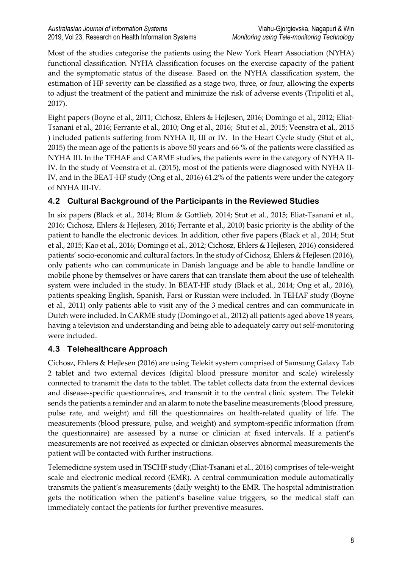Most of the studies categorise the patients using the New York Heart Association (NYHA) functional classification. NYHA classification focuses on the exercise capacity of the patient and the symptomatic status of the disease. Based on the NYHA classification system, the estimation of HF severity can be classified as a stage two, three, or four, allowing the experts to adjust the treatment of the patient and minimize the risk of adverse events (Tripoliti et al., 2017).

Eight papers (Boyne et al., 2011; Cichosz, Ehlers & Hejlesen, 2016; Domingo et al., 2012; Eliat-Tsanani et al., 2016; Ferrante et al., 2010; Ong et al., 2016; Stut et al., 2015; Veenstra et al., 2015 ) included patients suffering from NYHA II, III or IV. In the Heart Cycle study (Stut et al., 2015) the mean age of the patients is above 50 years and 66 % of the patients were classified as NYHA III. In the TEHAF and CARME studies, the patients were in the category of NYHA II-IV. In the study of Veenstra et al. (2015), most of the patients were diagnosed with NYHA II-IV, and in the BEAT-HF study (Ong et al., 2016) 61.2% of the patients were under the category of NYHA III-IV.

#### **4.2 Cultural Background of the Participants in the Reviewed Studies**

In six papers (Black et al., 2014; Blum & Gottlieb, 2014; Stut et al., 2015; Eliat-Tsanani et al., 2016; Cichosz, Ehlers & Hejlesen, 2016; Ferrante et al., 2010) basic priority is the ability of the patient to handle the electronic devices. In addition, other five papers (Black et al., 2014; Stut et al., 2015; Kao et al., 2016; Domingo et al., 2012; Cichosz, Ehlers & Hejlesen, 2016) considered patients' socio-economic and cultural factors. In the study of Cichosz, Ehlers & Hejlesen (2016), only patients who can communicate in Danish language and be able to handle landline or mobile phone by themselves or have carers that can translate them about the use of telehealth system were included in the study. In BEAT-HF study (Black et al., 2014; Ong et al., 2016), patients speaking English, Spanish, Farsi or Russian were included. In TEHAF study (Boyne et al., 2011) only patients able to visit any of the 3 medical centres and can communicate in Dutch were included. In CARME study (Domingo et al., 2012) all patients aged above 18 years, having a television and understanding and being able to adequately carry out self-monitoring were included.

### **4.3 Telehealthcare Approach**

Cichosz, Ehlers & Hejlesen (2016) are using Telekit system comprised of Samsung Galaxy Tab 2 tablet and two external devices (digital blood pressure monitor and scale) wirelessly connected to transmit the data to the tablet. The tablet collects data from the external devices and disease-specific questionnaires, and transmit it to the central clinic system. The Telekit sends the patients a reminder and an alarm to note the baseline measurements (blood pressure, pulse rate, and weight) and fill the questionnaires on health-related quality of life. The measurements (blood pressure, pulse, and weight) and symptom-specific information (from the questionnaire) are assessed by a nurse or clinician at fixed intervals. If a patient's measurements are not received as expected or clinician observes abnormal measurements the patient will be contacted with further instructions.

Telemedicine system used in TSCHF study (Eliat-Tsanani et al., 2016) comprises of tele-weight scale and electronic medical record (EMR). A central communication module automatically transmits the patient's measurements (daily weight) to the EMR. The hospital administration gets the notification when the patient's baseline value triggers, so the medical staff can immediately contact the patients for further preventive measures.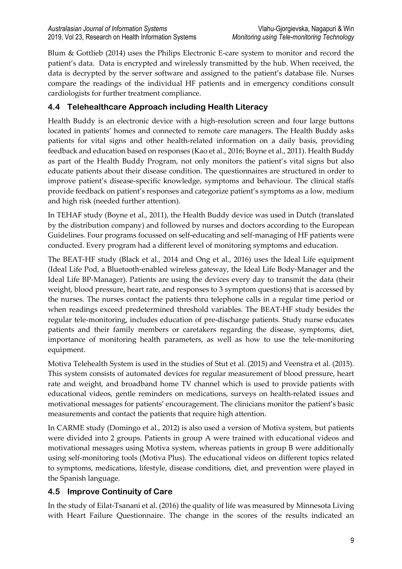Blum & Gottlieb (2014) uses the Philips Electronic E-care system to monitor and record the patient's data. Data is encrypted and wirelessly transmitted by the hub. When received, the data is decrypted by the server software and assigned to the patient's database file. Nurses compare the readings of the individual HF patients and in emergency conditions consult cardiologists for further treatment compliance.

### **4.4 Telehealthcare Approach including Health Literacy**

Health Buddy is an electronic device with a high-resolution screen and four large buttons located in patients' homes and connected to remote care managers. The Health Buddy asks patients for vital signs and other health-related information on a daily basis, providing feedback and education based on responses (Kao et al., 2016; Boyne et al., 2011). Health Buddy as part of the Health Buddy Program, not only monitors the patient's vital signs but also educate patients about their disease condition. The questionnaires are structured in order to improve patient's disease-specific knowledge, symptoms and behaviour. The clinical staffs provide feedback on patient's responses and categorize patient's symptoms as a low, medium and high risk (needed further attention).

In TEHAF study (Boyne et al., 2011), the Health Buddy device was used in Dutch (translated by the distribution company) and followed by nurses and doctors according to the European Guidelines. Four programs focussed on self-educating and self-managing of HF patients were conducted. Every program had a different level of monitoring symptoms and education.

The BEAT-HF study (Black et al., 2014 and Ong et al., 2016) uses the Ideal Life equipment (Ideal Life Pod, a Bluetooth-enabled wireless gateway, the Ideal Life Body-Manager and the Ideal Life BP-Manager). Patients are using the devices every day to transmit the data (their weight, blood pressure, heart rate, and responses to 3 symptom questions) that is accessed by the nurses. The nurses contact the patients thru telephone calls in a regular time period or when readings exceed predetermined threshold variables. The BEAT-HF study besides the regular tele-monitoring, includes education of pre-discharge patients. Study nurse educates patients and their family members or caretakers regarding the disease, symptoms, diet, importance of monitoring health parameters, as well as how to use the tele-monitoring equipment.

Motiva Telehealth System is used in the studies of Stut et al. (2015) and Veenstra et al. (2015). This system consists of automated devices for regular measurement of blood pressure, heart rate and weight, and broadband home TV channel which is used to provide patients with educational videos, gentle reminders on medications, surveys on health-related issues and motivational messages for patients' encouragement. The clinicians monitor the patient's basic measurements and contact the patients that require high attention.

In CARME study (Domingo et al., 2012) is also used a version of Motiva system, but patients were divided into 2 groups. Patients in group A were trained with educational videos and motivational messages using Motiva system, whereas patients in group B were additionally using self-monitoring tools (Motiva Plus). The educational videos on different topics related to symptoms, medications, lifestyle, disease conditions, diet, and prevention were played in the Spanish language.

### **4.5 Improve Continuity of Care**

In the study of Eilat-Tsanani et al. (2016) the quality of life was measured by Minnesota Living with Heart Failure Questionnaire. The change in the scores of the results indicated an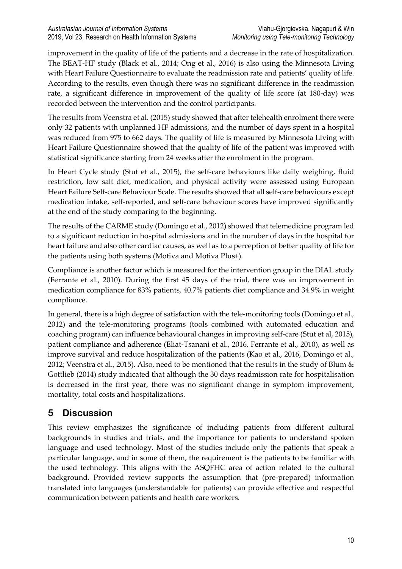improvement in the quality of life of the patients and a decrease in the rate of hospitalization. The BEAT-HF study (Black et al., 2014; Ong et al., 2016) is also using the Minnesota Living with Heart Failure Questionnaire to evaluate the readmission rate and patients' quality of life. According to the results, even though there was no significant difference in the readmission rate, a significant difference in improvement of the quality of life score (at 180-day) was recorded between the intervention and the control participants.

The results from Veenstra et al. (2015) study showed that after telehealth enrolment there were only 32 patients with unplanned HF admissions, and the number of days spent in a hospital was reduced from 975 to 662 days. The quality of life is measured by Minnesota Living with Heart Failure Questionnaire showed that the quality of life of the patient was improved with statistical significance starting from 24 weeks after the enrolment in the program.

In Heart Cycle study (Stut et al., 2015), the self-care behaviours like daily weighing, fluid restriction, low salt diet, medication, and physical activity were assessed using European Heart Failure Self-care Behaviour Scale. The results showed that all self-care behaviours except medication intake, self-reported, and self-care behaviour scores have improved significantly at the end of the study comparing to the beginning.

The results of the CARME study (Domingo et al., 2012) showed that telemedicine program led to a significant reduction in hospital admissions and in the number of days in the hospital for heart failure and also other cardiac causes, as well as to a perception of better quality of life for the patients using both systems (Motiva and Motiva Plus+).

Compliance is another factor which is measured for the intervention group in the DIAL study (Ferrante et al., 2010). During the first 45 days of the trial, there was an improvement in medication compliance for 83% patients, 40.7% patients diet compliance and 34.9% in weight compliance.

In general, there is a high degree of satisfaction with the tele-monitoring tools (Domingo et al., 2012) and the tele-monitoring programs (tools combined with automated education and coaching program) can influence behavioural changes in improving self-care (Stut et al, 2015), patient compliance and adherence (Eliat-Tsanani et al., 2016, Ferrante et al., 2010), as well as improve survival and reduce hospitalization of the patients (Kao et al., 2016, Domingo et al., 2012; Veenstra et al., 2015). Also, need to be mentioned that the results in the study of Blum & Gottlieb (2014) study indicated that although the 30 days readmission rate for hospitalisation is decreased in the first year, there was no significant change in symptom improvement, mortality, total costs and hospitalizations.

## **5 Discussion**

This review emphasizes the significance of including patients from different cultural backgrounds in studies and trials, and the importance for patients to understand spoken language and used technology. Most of the studies include only the patients that speak a particular language, and in some of them, the requirement is the patients to be familiar with the used technology. This aligns with the ASQFHC area of action related to the cultural background. Provided review supports the assumption that (pre-prepared) information translated into languages (understandable for patients) can provide effective and respectful communication between patients and health care workers.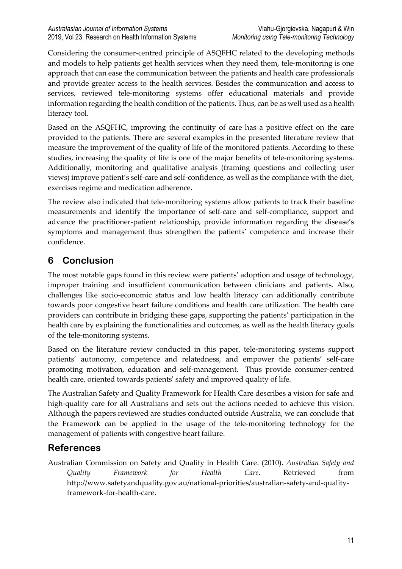Considering the consumer-centred principle of ASQFHC related to the developing methods and models to help patients get health services when they need them, tele-monitoring is one approach that can ease the communication between the patients and health care professionals and provide greater access to the health services. Besides the communication and access to services, reviewed tele-monitoring systems offer educational materials and provide information regarding the health condition of the patients. Thus, can be as well used as a health literacy tool.

Based on the ASQFHC, improving the continuity of care has a positive effect on the care provided to the patients. There are several examples in the presented literature review that measure the improvement of the quality of life of the monitored patients. According to these studies, increasing the quality of life is one of the major benefits of tele-monitoring systems. Additionally, monitoring and qualitative analysis (framing questions and collecting user views) improve patient's self-care and self-confidence, as well as the compliance with the diet, exercises regime and medication adherence.

The review also indicated that tele-monitoring systems allow patients to track their baseline measurements and identify the importance of self-care and self-compliance, support and advance the practitioner-patient relationship, provide information regarding the disease's symptoms and management thus strengthen the patients' competence and increase their confidence.

# **6 Conclusion**

The most notable gaps found in this review were patients' adoption and usage of technology, improper training and insufficient communication between clinicians and patients. Also, challenges like socio-economic status and low health literacy can additionally contribute towards poor congestive heart failure conditions and health care utilization. The health care providers can contribute in bridging these gaps, supporting the patients' participation in the health care by explaining the functionalities and outcomes, as well as the health literacy goals of the tele-monitoring systems.

Based on the literature review conducted in this paper, tele-monitoring systems support patients' autonomy, competence and relatedness, and empower the patients' self-care promoting motivation, education and self-management. Thus provide consumer-centred health care, oriented towards patients' safety and improved quality of life.

The Australian Safety and Quality Framework for Health Care describes a vision for safe and high-quality care for all Australians and sets out the actions needed to achieve this vision. Although the papers reviewed are studies conducted outside Australia, we can conclude that the Framework can be applied in the usage of the tele-monitoring technology for the management of patients with congestive heart failure.

## **References**

Australian Commission on Safety and Quality in Health Care. (2010). *Australian Safety and Quality Framework for Health Care*. Retrieved from http://www.safetyandquality.gov.au/national-priorities/australian-safety-and-qualityframework-for-health-care.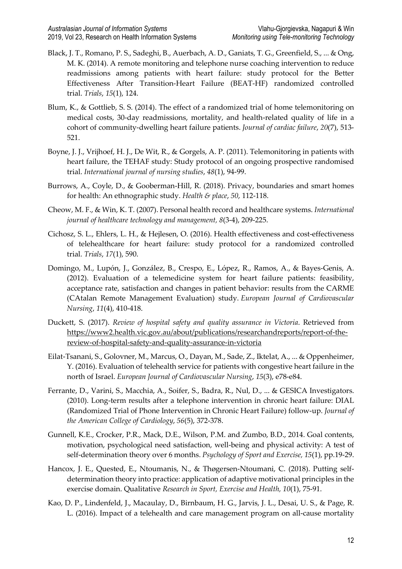- Black, J. T., Romano, P. S., Sadeghi, B., Auerbach, A. D., Ganiats, T. G., Greenfield, S., ... & Ong, M. K. (2014). A remote monitoring and telephone nurse coaching intervention to reduce readmissions among patients with heart failure: study protocol for the Better Effectiveness After Transition-Heart Failure (BEAT-HF) randomized controlled trial. *Trials*, *15*(1), 124.
- Blum, K., & Gottlieb, S. S. (2014). The effect of a randomized trial of home telemonitoring on medical costs, 30-day readmissions, mortality, and health-related quality of life in a cohort of community-dwelling heart failure patients. *Journal of cardiac failure*, *20*(7), 513- 521.
- Boyne, J. J., Vrijhoef, H. J., De Wit, R., & Gorgels, A. P. (2011). Telemonitoring in patients with heart failure, the TEHAF study: Study protocol of an ongoing prospective randomised trial. *International journal of nursing studies*, *48*(1), 94-99.
- Burrows, A., Coyle, D., & Gooberman-Hill, R. (2018). Privacy, boundaries and smart homes for health: An ethnographic study. *Health & place*, *50*, 112-118.
- Cheow, M. F., & Win, K. T. (2007). Personal health record and healthcare systems. *International journal of healthcare technology and management, 8*(3-4), 209-225.
- Cichosz, S. L., Ehlers, L. H., & Hejlesen, O. (2016). Health effectiveness and cost-effectiveness of telehealthcare for heart failure: study protocol for a randomized controlled trial. *Trials*, *17*(1), 590.
- Domingo, M., Lupón, J., González, B., Crespo, E., López, R., Ramos, A., & Bayes-Genis, A. (2012). Evaluation of a telemedicine system for heart failure patients: feasibility, acceptance rate, satisfaction and changes in patient behavior: results from the CARME (CAtalan Remote Management Evaluation) study. *European Journal of Cardiovascular Nursing*, *11*(4), 410-418.
- Duckett, S. (2017). *Review of hospital safety and quality assurance in Victoria*. Retrieved from https://www2.health.vic.gov.au/about/publications/researchandreports/report-of-thereview-of-hospital-safety-and-quality-assurance-in-victoria
- Eilat-Tsanani, S., Golovner, M., Marcus, O., Dayan, M., Sade, Z., Iktelat, A., ... & Oppenheimer, Y. (2016). Evaluation of telehealth service for patients with congestive heart failure in the north of Israel. *European Journal of Cardiovascular Nursing*, *15*(3), e78-e84.
- Ferrante, D., Varini, S., Macchia, A., Soifer, S., Badra, R., Nul, D., ... & GESICA Investigators. (2010). Long-term results after a telephone intervention in chronic heart failure: DIAL (Randomized Trial of Phone Intervention in Chronic Heart Failure) follow-up. *Journal of the American College of Cardiology*, *56*(5), 372-378.
- Gunnell, K.E., Crocker, P.R., Mack, D.E., Wilson, P.M. and Zumbo, B.D., 2014. Goal contents, motivation, psychological need satisfaction, well-being and physical activity: A test of self-determination theory over 6 months. *Psychology of Sport and Exercise, 15*(1), pp.19-29.
- Hancox, J. E., Quested, E., Ntoumanis, N., & Thøgersen-Ntoumani, C. (2018). Putting selfdetermination theory into practice: application of adaptive motivational principles in the exercise domain. Qualitative *Research in Sport, Exercise and Health, 10*(1), 75-91.
- Kao, D. P., Lindenfeld, J., Macaulay, D., Birnbaum, H. G., Jarvis, J. L., Desai, U. S., & Page, R. L. (2016). Impact of a telehealth and care management program on all-cause mortality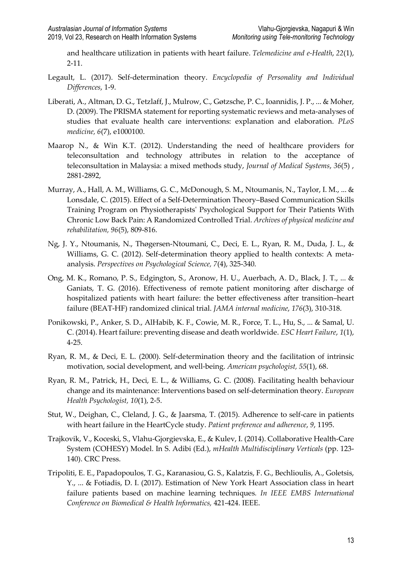and healthcare utilization in patients with heart failure. *Telemedicine and e-Health*, *22*(1), 2-11.

- Legault, L. (2017). Self-determination theory. *Encyclopedia of Personality and Individual Differences*, 1-9.
- Liberati, A., Altman, D. G., Tetzlaff, J., Mulrow, C., Gøtzsche, P. C., Ioannidis, J. P., ... & Moher, D. (2009). The PRISMA statement for reporting systematic reviews and meta-analyses of studies that evaluate health care interventions: explanation and elaboration. *PLoS medicine, 6*(7), e1000100.
- Maarop N., & Win K.T. (2012). Understanding the need of healthcare providers for teleconsultation and technology attributes in relation to the acceptance of teleconsultation in Malaysia: a mixed methods study, *Journal of Medical Systems*, *36*(5) , 2881-2892,
- Murray, A., Hall, A. M., Williams, G. C., McDonough, S. M., Ntoumanis, N., Taylor, I. M., ... & Lonsdale, C. (2015). Effect of a Self-Determination Theory–Based Communication Skills Training Program on Physiotherapists' Psychological Support for Their Patients With Chronic Low Back Pain: A Randomized Controlled Trial. *Archives of physical medicine and rehabilitation, 96*(5), 809-816.
- Ng, J. Y., Ntoumanis, N., Thøgersen-Ntoumani, C., Deci, E. L., Ryan, R. M., Duda, J. L., & Williams, G. C. (2012). Self-determination theory applied to health contexts: A metaanalysis. *Perspectives on Psychological Science, 7*(4), 325-340.
- Ong, M. K., Romano, P. S., Edgington, S., Aronow, H. U., Auerbach, A. D., Black, J. T., ... & Ganiats, T. G. (2016). Effectiveness of remote patient monitoring after discharge of hospitalized patients with heart failure: the better effectiveness after transition–heart failure (BEAT-HF) randomized clinical trial. *JAMA internal medicine*, *176*(3), 310-318.
- Ponikowski, P., Anker, S. D., AlHabib, K. F., Cowie, M. R., Force, T. L., Hu, S., ... & Samal, U. C. (2014). Heart failure: preventing disease and death worldwide. *ESC Heart Failure*, *1*(1), 4-25.
- Ryan, R. M., & Deci, E. L. (2000). Self-determination theory and the facilitation of intrinsic motivation, social development, and well-being. *American psychologist, 55*(1), 68.
- Ryan, R. M., Patrick, H., Deci, E. L., & Williams, G. C. (2008). Facilitating health behaviour change and its maintenance: Interventions based on self-determination theory. *European Health Psychologist, 10*(1), 2-5.
- Stut, W., Deighan, C., Cleland, J. G., & Jaarsma, T. (2015). Adherence to self-care in patients with heart failure in the HeartCycle study. *Patient preference and adherence*, *9*, 1195.
- Trajkovik, V., Koceski, S., Vlahu-Gjorgievska, E., & Kulev, I. (2014). Collaborative Health-Care System (COHESY) Model. In S. Adibi (Ed.), *mHealth Multidisciplinary Verticals* (pp. 123- 140). CRC Press.
- Tripoliti, E. E., Papadopoulos, T. G., Karanasiou, G. S., Kalatzis, F. G., Bechlioulis, A., Goletsis, Y., ... & Fotiadis, D. I. (2017). Estimation of New York Heart Association class in heart failure patients based on machine learning techniques*. In IEEE EMBS International Conference on Biomedical & Health Informatics,* 421-424. IEEE.